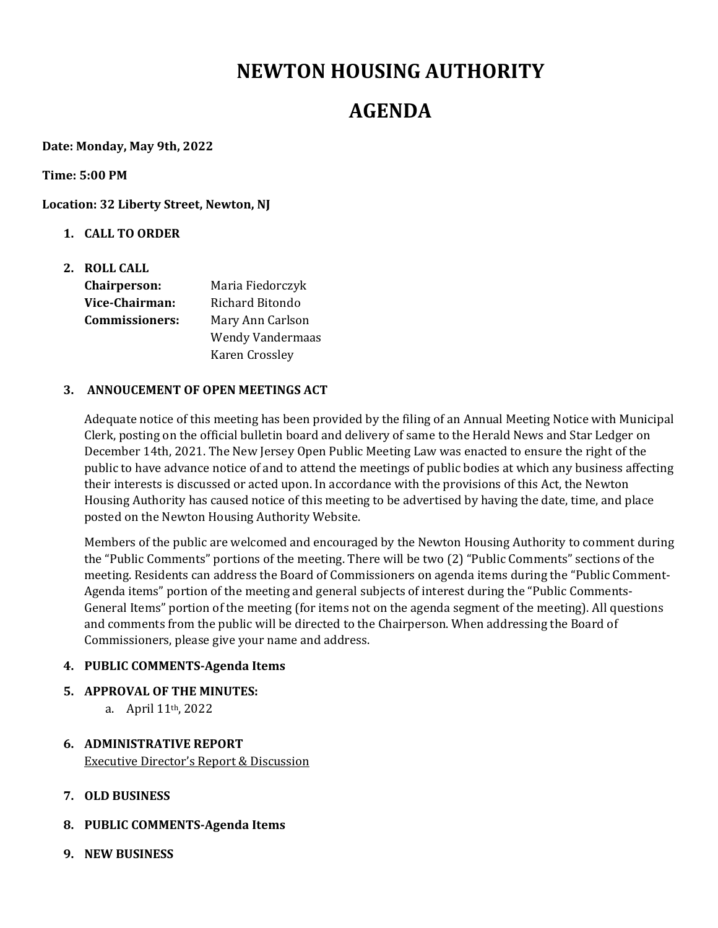# **NEWTON HOUSING AUTHORITY**

## **AGENDA**

**Date: Monday, May 9th, 2022**

**Time: 5:00 PM**

**Location: 32 Liberty Street, Newton, NJ**

- **1. CALL TO ORDER**
- **2. ROLL CALL Chairperson:**  Maria Fiedorczyk **Vice‐Chairman:** Richard Bitondo **Commissioners:** Mary Ann Carlson Wendy Vandermaas

#### **3. ANNOUCEMENT OF OPEN MEETINGS ACT**

Karen Crossley

Adequate notice of this meeting has been provided by the filing of an Annual Meeting Notice with Municipal Clerk, posting on the official bulletin board and delivery of same to the Herald News and Star Ledger on December 14th, 2021. The New Jersey Open Public Meeting Law was enacted to ensure the right of the public to have advance notice of and to attend the meetings of public bodies at which any business affecting their interests is discussed or acted upon. In accordance with the provisions of this Act, the Newton Housing Authority has caused notice of this meeting to be advertised by having the date, time, and place posted on the Newton Housing Authority Website.

Members of the public are welcomed and encouraged by the Newton Housing Authority to comment during the "Public Comments" portions of the meeting. There will be two (2) "Public Comments" sections of the meeting. Residents can address the Board of Commissioners on agenda items during the "Public Comment-Agenda items" portion of the meeting and general subjects of interest during the "Public Comments-General Items" portion of the meeting (for items not on the agenda segment of the meeting). All questions and comments from the public will be directed to the Chairperson. When addressing the Board of Commissioners, please give your name and address.

#### **4. PUBLIC COMMENTS‐Agenda Items**

- **5. APPROVAL OF THE MINUTES:** 
	- a. April 11th, 2022
- **6. ADMINISTRATIVE REPORT** Executive Director's Report & Discussion
- **7. OLD BUSINESS**
- **8. PUBLIC COMMENTS‐Agenda Items**
- **9. NEW BUSINESS**